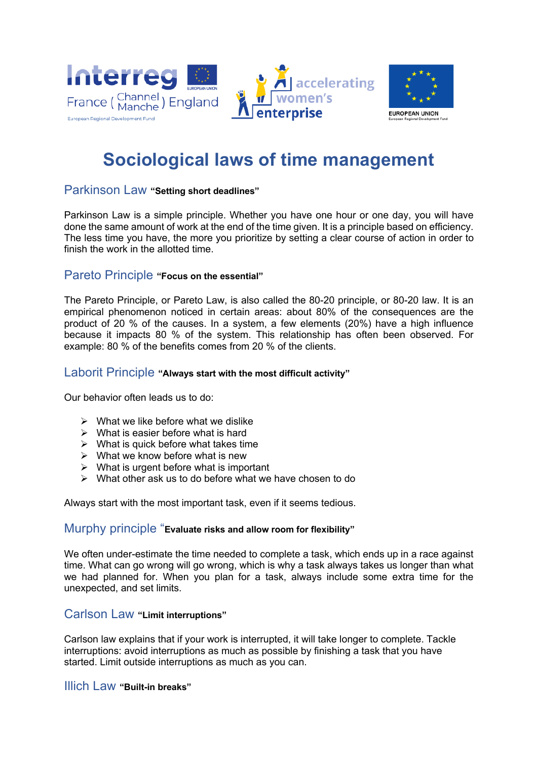



# **Sociological laws of time management**

## Parkinson Law **"Setting short deadlines"**

Parkinson Law is a simple principle. Whether you have one hour or one day, you will have done the same amount of work at the end of the time given. It is a principle based on efficiency. The less time you have, the more you prioritize by setting a clear course of action in order to finish the work in the allotted time.

## Pareto Principle **"Focus on the essential"**

The Pareto Principle, or Pareto Law, is also called the 80-20 principle, or 80-20 law. It is an empirical phenomenon noticed in certain areas: about 80% of the consequences are the product of 20 % of the causes. In a system, a few elements (20%) have a high influence because it impacts 80 % of the system. This relationship has often been observed. For example: 80 % of the benefits comes from 20 % of the clients.

#### Laborit Principle **"Always start with the most difficult activity"**

Our behavior often leads us to do:

- $\triangleright$  What we like before what we dislike
- $\triangleright$  What is easier before what is hard
- $\triangleright$  What is quick before what takes time
- $\triangleright$  What we know before what is new
- $\triangleright$  What is urgent before what is important
- $\triangleright$  What other ask us to do before what we have chosen to do

Always start with the most important task, even if it seems tedious.

## Murphy principle "**Evaluate risks and allow room for flexibility"**

We often under-estimate the time needed to complete a task, which ends up in a race against time. What can go wrong will go wrong, which is why a task always takes us longer than what we had planned for. When you plan for a task, always include some extra time for the unexpected, and set limits.

#### Carlson Law **"Limit interruptions"**

Carlson law explains that if your work is interrupted, it will take longer to complete. Tackle interruptions: avoid interruptions as much as possible by finishing a task that you have started. Limit outside interruptions as much as you can.

Illich Law **"Built-in breaks"**